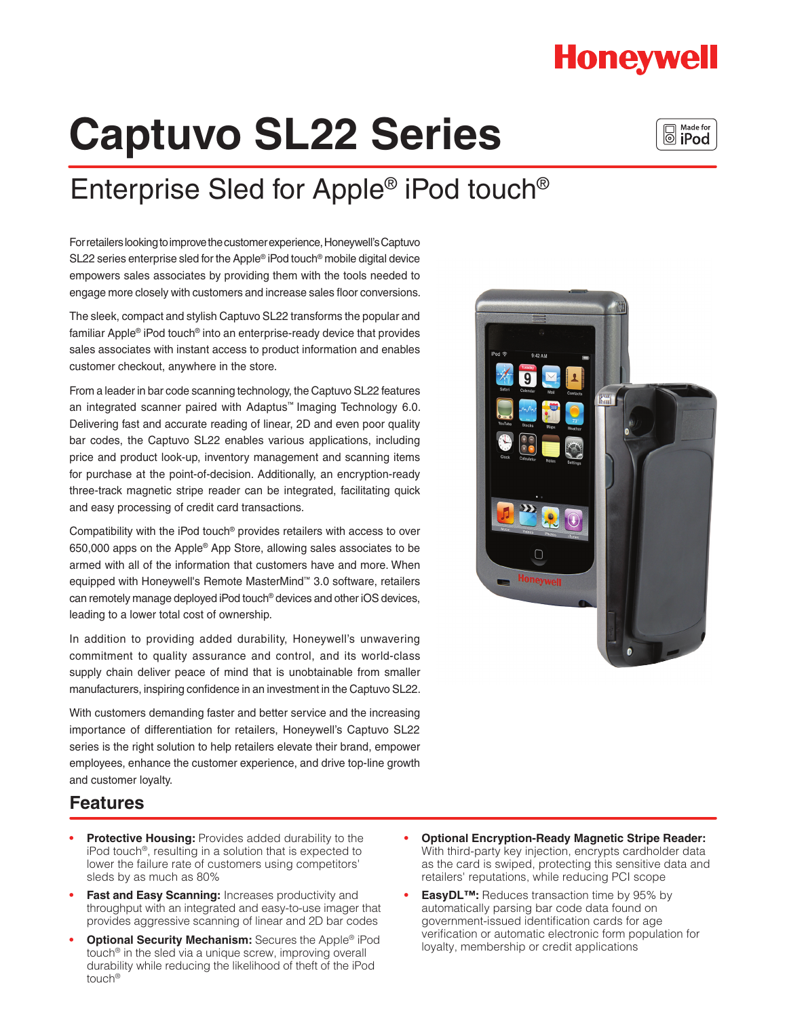## **Honeywell**

# **Captuvo SL22 Series**



# Enterprise Sled for Apple® iPod touch®

For retailers looking to improve the customer experience, Honeywell's Captuvo SL22 series enterprise sled for the Apple® iPod touch® mobile digital device empowers sales associates by providing them with the tools needed to engage more closely with customers and increase sales floor conversions.

The sleek, compact and stylish Captuvo SL22 transforms the popular and familiar Apple® iPod touch® into an enterprise-ready device that provides sales associates with instant access to product information and enables customer checkout, anywhere in the store.

From a leader in bar code scanning technology, the Captuvo SL22 features an integrated scanner paired with Adaptus™ Imaging Technology 6.0. Delivering fast and accurate reading of linear, 2D and even poor quality bar codes, the Captuvo SL22 enables various applications, including price and product look-up, inventory management and scanning items for purchase at the point-of-decision. Additionally, an encryption-ready three-track magnetic stripe reader can be integrated, facilitating quick and easy processing of credit card transactions.

Compatibility with the iPod touch® provides retailers with access to over 650,000 apps on the Apple® App Store, allowing sales associates to be armed with all of the information that customers have and more. When equipped with Honeywell's Remote MasterMind™ 3.0 software, retailers can remotely manage deployed iPod touch® devices and other iOS devices, leading to a lower total cost of ownership.

In addition to providing added durability, Honeywell's unwavering commitment to quality assurance and control, and its world-class supply chain deliver peace of mind that is unobtainable from smaller manufacturers, inspiring confidence in an investment in the Captuvo SL22.

With customers demanding faster and better service and the increasing importance of differentiation for retailers, Honeywell's Captuvo SL22 series is the right solution to help retailers elevate their brand, empower employees, enhance the customer experience, and drive top-line growth and customer loyalty.



### **Features**

- **Protective Housing: Provides added durability to the** iPod touch®, resulting in a solution that is expected to lower the failure rate of customers using competitors' sleds by as much as 80%
- **Fast and Easy Scanning: Increases productivity and** throughput with an integrated and easy-to-use imager that provides aggressive scanning of linear and 2D bar codes
- **Optional Security Mechanism:** Secures the Apple® iPod touch® in the sled via a unique screw, improving overall durability while reducing the likelihood of theft of the iPod touch®
- **Optional Encryption-Ready Magnetic Stripe Reader:** With third-party key injection, encrypts cardholder data as the card is swiped, protecting this sensitive data and retailers' reputations, while reducing PCI scope
- **EasyDL™:** Reduces transaction time by 95% by automatically parsing bar code data found on government-issued identification cards for age verification or automatic electronic form population for loyalty, membership or credit applications